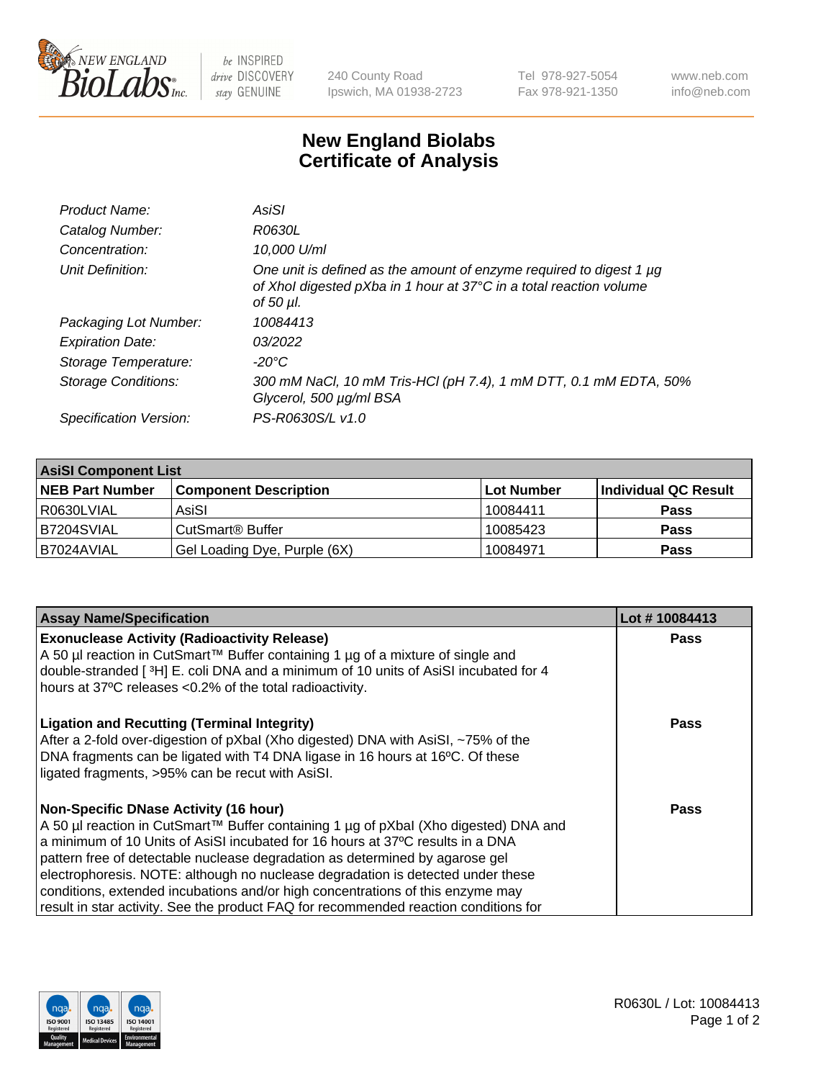

 $be$  INSPIRED drive DISCOVERY stay GENUINE

240 County Road Ipswich, MA 01938-2723 Tel 978-927-5054 Fax 978-921-1350 www.neb.com info@neb.com

## **New England Biolabs Certificate of Analysis**

| Product Name:              | AsiSI                                                                                                                                                  |
|----------------------------|--------------------------------------------------------------------------------------------------------------------------------------------------------|
| Catalog Number:            | R0630L                                                                                                                                                 |
| Concentration:             | 10,000 U/ml                                                                                                                                            |
| Unit Definition:           | One unit is defined as the amount of enzyme required to digest 1 µg<br>of Xhol digested pXba in 1 hour at 37°C in a total reaction volume<br>of 50 µl. |
| Packaging Lot Number:      | 10084413                                                                                                                                               |
| <b>Expiration Date:</b>    | 03/2022                                                                                                                                                |
| Storage Temperature:       | -20°C                                                                                                                                                  |
| <b>Storage Conditions:</b> | 300 mM NaCl, 10 mM Tris-HCl (pH 7.4), 1 mM DTT, 0.1 mM EDTA, 50%<br>Glycerol, 500 µg/ml BSA                                                            |
| Specification Version:     | PS-R0630S/L v1.0                                                                                                                                       |

| <b>AsiSI Component List</b> |                              |            |                      |  |  |
|-----------------------------|------------------------------|------------|----------------------|--|--|
| <b>NEB Part Number</b>      | <b>Component Description</b> | Lot Number | Individual QC Result |  |  |
| R0630LVIAL                  | AsiSI                        | 10084411   | <b>Pass</b>          |  |  |
| B7204SVIAL                  | CutSmart <sup>®</sup> Buffer | 10085423   | <b>Pass</b>          |  |  |
| B7024AVIAL                  | Gel Loading Dye, Purple (6X) | 10084971   | <b>Pass</b>          |  |  |

| <b>Assay Name/Specification</b>                                                                                                                                                                                               | Lot #10084413 |
|-------------------------------------------------------------------------------------------------------------------------------------------------------------------------------------------------------------------------------|---------------|
| <b>Exonuclease Activity (Radioactivity Release)</b><br>A 50 µl reaction in CutSmart™ Buffer containing 1 µg of a mixture of single and<br>double-stranded [3H] E. coli DNA and a minimum of 10 units of AsiSI incubated for 4 | <b>Pass</b>   |
| hours at 37°C releases <0.2% of the total radioactivity.                                                                                                                                                                      |               |
| <b>Ligation and Recutting (Terminal Integrity)</b><br>After a 2-fold over-digestion of pXbal (Xho digested) DNA with AsiSI, ~75% of the                                                                                       | Pass          |
| DNA fragments can be ligated with T4 DNA ligase in 16 hours at 16°C. Of these<br>ligated fragments, >95% can be recut with AsiSI.                                                                                             |               |
| <b>Non-Specific DNase Activity (16 hour)</b>                                                                                                                                                                                  | Pass          |
| A 50 µl reaction in CutSmart™ Buffer containing 1 µg of pXbal (Xho digested) DNA and                                                                                                                                          |               |
| a minimum of 10 Units of AsiSI incubated for 16 hours at 37°C results in a DNA                                                                                                                                                |               |
| pattern free of detectable nuclease degradation as determined by agarose gel                                                                                                                                                  |               |
| electrophoresis. NOTE: although no nuclease degradation is detected under these                                                                                                                                               |               |
| conditions, extended incubations and/or high concentrations of this enzyme may                                                                                                                                                |               |
| result in star activity. See the product FAQ for recommended reaction conditions for                                                                                                                                          |               |